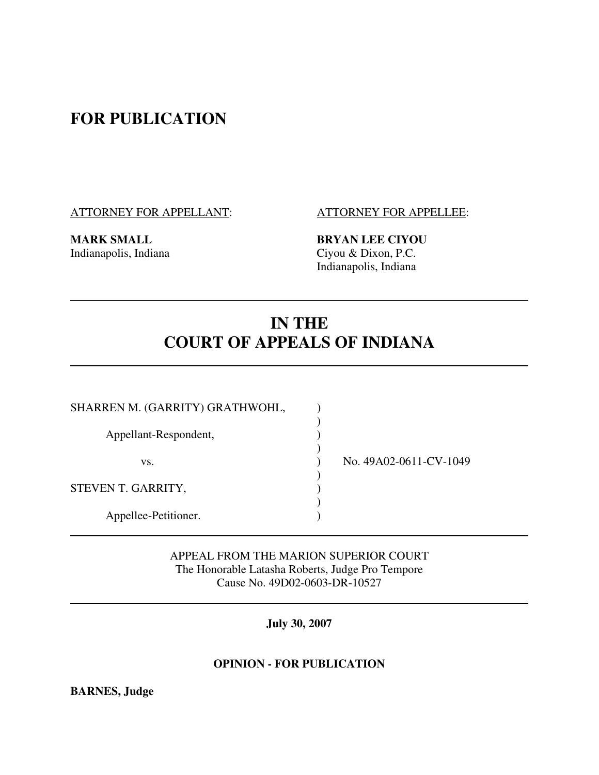## **FOR PUBLICATION**

ATTORNEY FOR APPELLANT: ATTORNEY FOR APPELLEE:

**MARK SMALL BRYAN LEE CIYOU**<br>Indianapolis, Indiana<br>Ciyou & Dixon, P.C. Ciyou & Dixon, P.C. Indianapolis, Indiana

# **IN THE COURT OF APPEALS OF INDIANA**

| SHARREN M. (GARRITY) GRATHWOHL, |                        |
|---------------------------------|------------------------|
| Appellant-Respondent,           |                        |
| VS.                             | No. 49A02-0611-CV-1049 |
| STEVEN T. GARRITY,              |                        |
| Appellee-Petitioner.            |                        |

 APPEAL FROM THE MARION SUPERIOR COURT The Honorable Latasha Roberts, Judge Pro Tempore Cause No. 49D02-0603-DR-10527

**July 30, 2007** 

### **OPINION - FOR PUBLICATION**

**BARNES, Judge**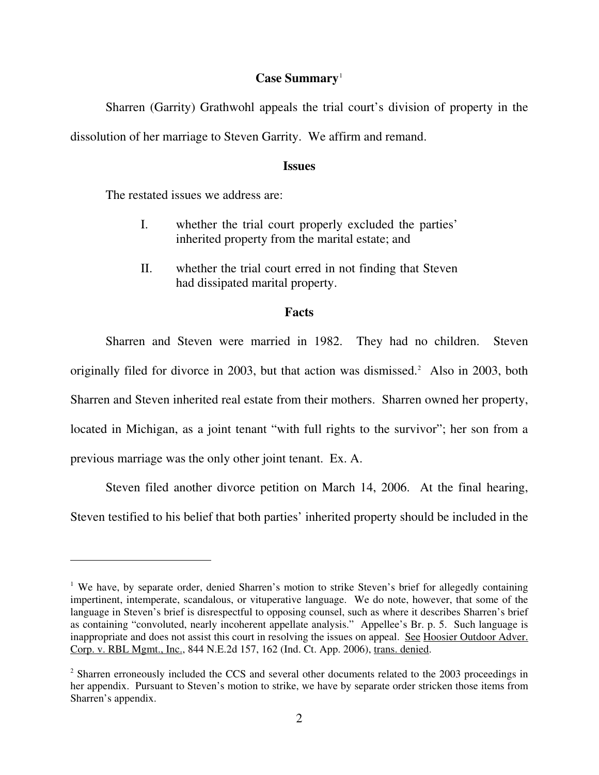#### **Case Summary**<sup>1</sup>

 Sharren (Garrity) Grathwohl appeals the trial court's division of property in the dissolution of her marriage to Steven Garrity. We affirm and remand.

#### **Issues**

The restated issues we address are:

-

- I. whether the trial court properly excluded the parties' inherited property from the marital estate; and
- II. whether the trial court erred in not finding that Steven had dissipated marital property.

#### **Facts**

 Sharren and Steven were married in 1982. They had no children. Steven originally filed for divorce in 2003, but that action was dismissed.<sup>2</sup> Also in 2003, both Sharren and Steven inherited real estate from their mothers. Sharren owned her property, located in Michigan, as a joint tenant "with full rights to the survivor"; her son from a previous marriage was the only other joint tenant. Ex. A.

 Steven filed another divorce petition on March 14, 2006. At the final hearing, Steven testified to his belief that both parties' inherited property should be included in the

<sup>&</sup>lt;sup>1</sup> We have, by separate order, denied Sharren's motion to strike Steven's brief for allegedly containing impertinent, intemperate, scandalous, or vituperative language. We do note, however, that some of the language in Steven's brief is disrespectful to opposing counsel, such as where it describes Sharren's brief as containing "convoluted, nearly incoherent appellate analysis." Appellee's Br. p. 5. Such language is inappropriate and does not assist this court in resolving the issues on appeal. See Hoosier Outdoor Adver. Corp. v. RBL Mgmt., Inc., 844 N.E.2d 157, 162 (Ind. Ct. App. 2006), trans. denied.

<sup>&</sup>lt;sup>2</sup> Sharren erroneously included the CCS and several other documents related to the 2003 proceedings in her appendix. Pursuant to Steven's motion to strike, we have by separate order stricken those items from Sharren's appendix.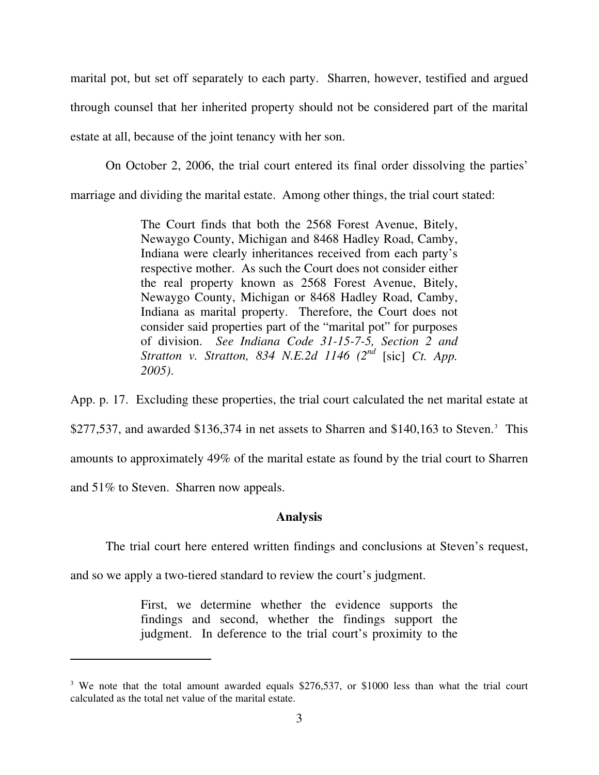marital pot, but set off separately to each party. Sharren, however, testified and argued through counsel that her inherited property should not be considered part of the marital estate at all, because of the joint tenancy with her son.

On October 2, 2006, the trial court entered its final order dissolving the parties'

marriage and dividing the marital estate. Among other things, the trial court stated:

The Court finds that both the 2568 Forest Avenue, Bitely, Newaygo County, Michigan and 8468 Hadley Road, Camby, Indiana were clearly inheritances received from each party's respective mother. As such the Court does not consider either the real property known as 2568 Forest Avenue, Bitely, Newaygo County, Michigan or 8468 Hadley Road, Camby, Indiana as marital property. Therefore, the Court does not consider said properties part of the "marital pot" for purposes of division. *See Indiana Code 31-15-7-5, Section 2 and Stratton v. Stratton, 834 N.E.2d 1146 (2nd* [sic] *Ct. App. 2005)*.

App. p. 17. Excluding these properties, the trial court calculated the net marital estate at  $$277,537$ , and awarded  $$136,374$  in net assets to Sharren and  $$140,163$  to Steven.<sup>3</sup> This amounts to approximately 49% of the marital estate as found by the trial court to Sharren and 51% to Steven. Sharren now appeals.

#### **Analysis**

The trial court here entered written findings and conclusions at Steven's request,

and so we apply a two-tiered standard to review the court's judgment.

 $\overline{a}$ 

First, we determine whether the evidence supports the findings and second, whether the findings support the judgment. In deference to the trial court's proximity to the

<sup>&</sup>lt;sup>3</sup> We note that the total amount awarded equals \$276,537, or \$1000 less than what the trial court calculated as the total net value of the marital estate.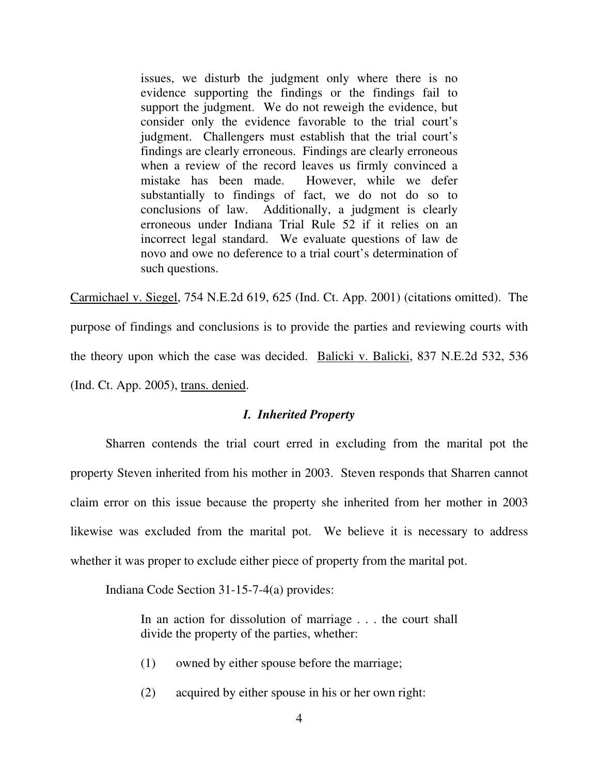issues, we disturb the judgment only where there is no evidence supporting the findings or the findings fail to support the judgment. We do not reweigh the evidence, but consider only the evidence favorable to the trial court's judgment. Challengers must establish that the trial court's findings are clearly erroneous. Findings are clearly erroneous when a review of the record leaves us firmly convinced a mistake has been made. However, while we defer substantially to findings of fact, we do not do so to conclusions of law. Additionally, a judgment is clearly erroneous under Indiana Trial Rule 52 if it relies on an incorrect legal standard. We evaluate questions of law de novo and owe no deference to a trial court's determination of such questions.

Carmichael v. Siegel, 754 N.E.2d 619, 625 (Ind. Ct. App. 2001) (citations omitted). The purpose of findings and conclusions is to provide the parties and reviewing courts with the theory upon which the case was decided. Balicki v. Balicki, 837 N.E.2d 532, 536 (Ind. Ct. App. 2005), trans. denied.

#### *I. Inherited Property*

 Sharren contends the trial court erred in excluding from the marital pot the property Steven inherited from his mother in 2003. Steven responds that Sharren cannot claim error on this issue because the property she inherited from her mother in 2003 likewise was excluded from the marital pot. We believe it is necessary to address whether it was proper to exclude either piece of property from the marital pot.

Indiana Code Section 31-15-7-4(a) provides:

In an action for dissolution of marriage . . . the court shall divide the property of the parties, whether:

- (1) owned by either spouse before the marriage;
- (2) acquired by either spouse in his or her own right: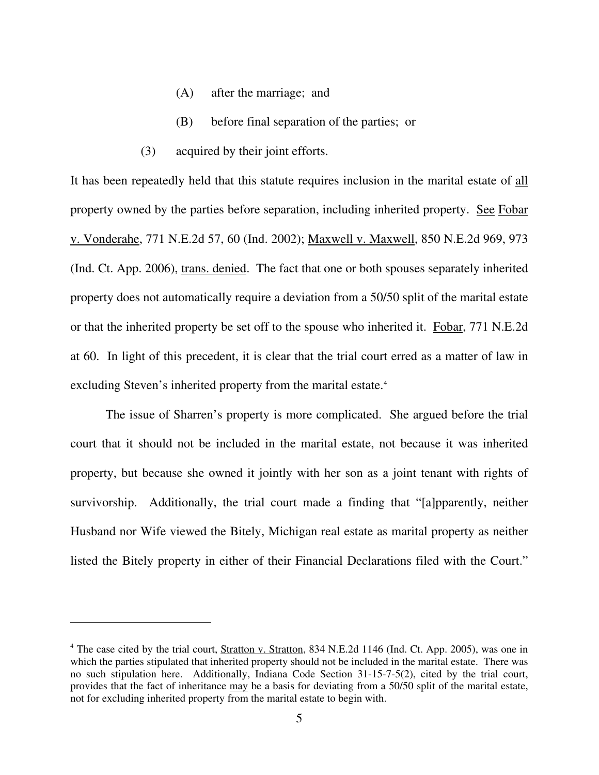- (A) after the marriage; and
- (B) before final separation of the parties; or
- (3) acquired by their joint efforts.

It has been repeatedly held that this statute requires inclusion in the marital estate of all property owned by the parties before separation, including inherited property. See Fobar v. Vonderahe, 771 N.E.2d 57, 60 (Ind. 2002); Maxwell v. Maxwell, 850 N.E.2d 969, 973 (Ind. Ct. App. 2006), trans. denied. The fact that one or both spouses separately inherited property does not automatically require a deviation from a 50/50 split of the marital estate or that the inherited property be set off to the spouse who inherited it. Fobar, 771 N.E.2d at 60. In light of this precedent, it is clear that the trial court erred as a matter of law in excluding Steven's inherited property from the marital estate.<sup>4</sup>

 The issue of Sharren's property is more complicated. She argued before the trial court that it should not be included in the marital estate, not because it was inherited property, but because she owned it jointly with her son as a joint tenant with rights of survivorship. Additionally, the trial court made a finding that "[a]pparently, neither Husband nor Wife viewed the Bitely, Michigan real estate as marital property as neither listed the Bitely property in either of their Financial Declarations filed with the Court."

<sup>&</sup>lt;sup>4</sup> The case cited by the trial court, **Stratton v. Stratton**, 834 N.E.2d 1146 (Ind. Ct. App. 2005), was one in which the parties stipulated that inherited property should not be included in the marital estate. There was no such stipulation here. Additionally, Indiana Code Section 31-15-7-5(2), cited by the trial court, provides that the fact of inheritance may be a basis for deviating from a 50/50 split of the marital estate, not for excluding inherited property from the marital estate to begin with.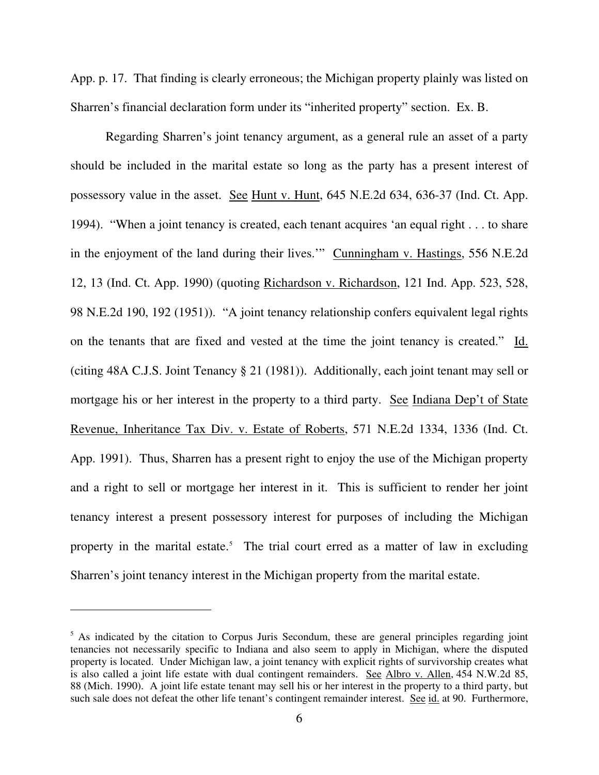App. p. 17. That finding is clearly erroneous; the Michigan property plainly was listed on Sharren's financial declaration form under its "inherited property" section. Ex. B.

 Regarding Sharren's joint tenancy argument, as a general rule an asset of a party should be included in the marital estate so long as the party has a present interest of possessory value in the asset. See Hunt v. Hunt, 645 N.E.2d 634, 636-37 (Ind. Ct. App. 1994). "When a joint tenancy is created, each tenant acquires 'an equal right . . . to share in the enjoyment of the land during their lives.'" Cunningham v. Hastings, 556 N.E.2d 12, 13 (Ind. Ct. App. 1990) (quoting Richardson v. Richardson, 121 Ind. App. 523, 528, 98 N.E.2d 190, 192 (1951)). "A joint tenancy relationship confers equivalent legal rights on the tenants that are fixed and vested at the time the joint tenancy is created." Id. (citing 48A C.J.S. Joint Tenancy § 21 (1981)). Additionally, each joint tenant may sell or mortgage his or her interest in the property to a third party. See Indiana Dep't of State Revenue, Inheritance Tax Div. v. Estate of Roberts, 571 N.E.2d 1334, 1336 (Ind. Ct. App. 1991). Thus, Sharren has a present right to enjoy the use of the Michigan property and a right to sell or mortgage her interest in it. This is sufficient to render her joint tenancy interest a present possessory interest for purposes of including the Michigan property in the marital estate.<sup>5</sup> The trial court erred as a matter of law in excluding Sharren's joint tenancy interest in the Michigan property from the marital estate.

 $\overline{a}$ 

<sup>&</sup>lt;sup>5</sup> As indicated by the citation to Corpus Juris Secondum, these are general principles regarding joint tenancies not necessarily specific to Indiana and also seem to apply in Michigan, where the disputed property is located. Under Michigan law, a joint tenancy with explicit rights of survivorship creates what is also called a joint life estate with dual contingent remainders. See Albro v. Allen, 454 N.W.2d 85, 88 (Mich. 1990). A joint life estate tenant may sell his or her interest in the property to a third party, but such sale does not defeat the other life tenant's contingent remainder interest. See id. at 90. Furthermore,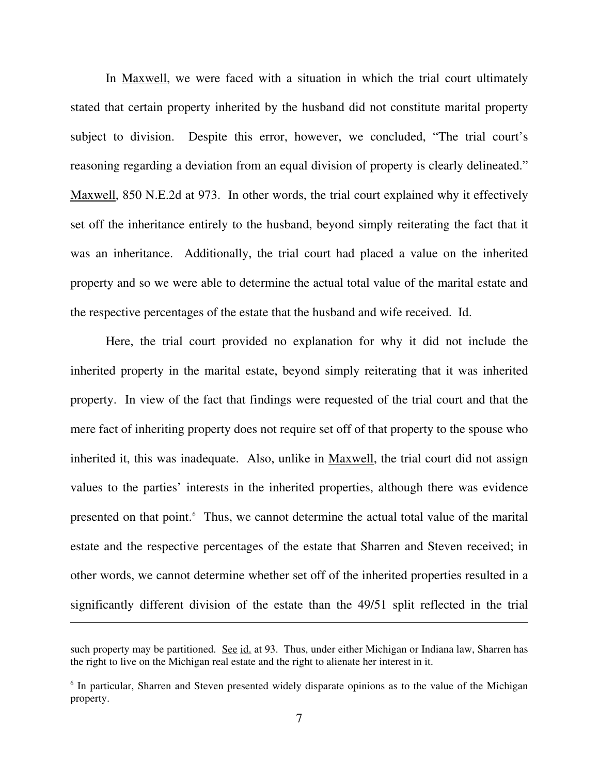In Maxwell, we were faced with a situation in which the trial court ultimately stated that certain property inherited by the husband did not constitute marital property subject to division. Despite this error, however, we concluded, "The trial court's reasoning regarding a deviation from an equal division of property is clearly delineated." Maxwell, 850 N.E.2d at 973. In other words, the trial court explained why it effectively set off the inheritance entirely to the husband, beyond simply reiterating the fact that it was an inheritance. Additionally, the trial court had placed a value on the inherited property and so we were able to determine the actual total value of the marital estate and the respective percentages of the estate that the husband and wife received. Id.

 Here, the trial court provided no explanation for why it did not include the inherited property in the marital estate, beyond simply reiterating that it was inherited property. In view of the fact that findings were requested of the trial court and that the mere fact of inheriting property does not require set off of that property to the spouse who inherited it, this was inadequate. Also, unlike in Maxwell, the trial court did not assign values to the parties' interests in the inherited properties, although there was evidence presented on that point.<sup>6</sup> Thus, we cannot determine the actual total value of the marital estate and the respective percentages of the estate that Sharren and Steven received; in other words, we cannot determine whether set off of the inherited properties resulted in a significantly different division of the estate than the 49/51 split reflected in the trial

 $\overline{a}$ 

such property may be partitioned. See id. at 93. Thus, under either Michigan or Indiana law, Sharren has the right to live on the Michigan real estate and the right to alienate her interest in it.

<sup>&</sup>lt;sup>6</sup> In particular, Sharren and Steven presented widely disparate opinions as to the value of the Michigan property.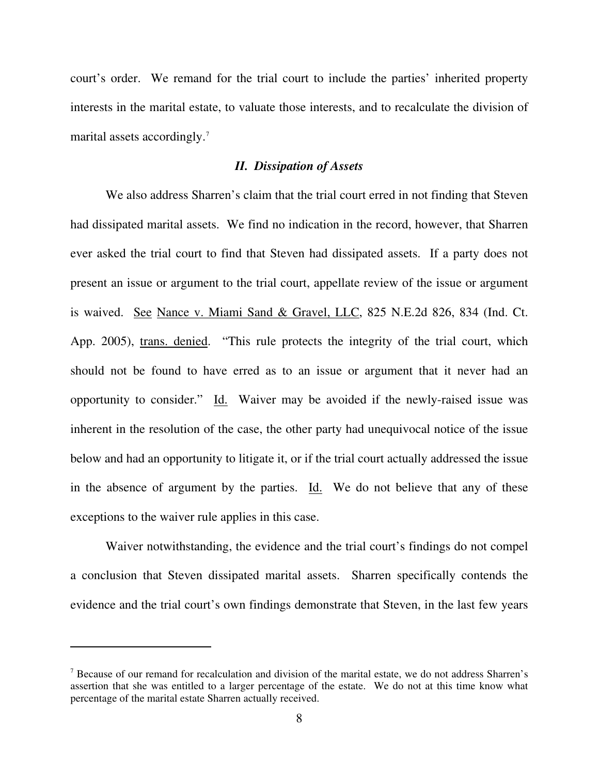court's order. We remand for the trial court to include the parties' inherited property interests in the marital estate, to valuate those interests, and to recalculate the division of marital assets accordingly.<sup>7</sup>

#### *II. Dissipation of Assets*

 We also address Sharren's claim that the trial court erred in not finding that Steven had dissipated marital assets. We find no indication in the record, however, that Sharren ever asked the trial court to find that Steven had dissipated assets. If a party does not present an issue or argument to the trial court, appellate review of the issue or argument is waived. See Nance v. Miami Sand & Gravel, LLC, 825 N.E.2d 826, 834 (Ind. Ct. App. 2005), trans. denied. "This rule protects the integrity of the trial court, which should not be found to have erred as to an issue or argument that it never had an opportunity to consider." Id. Waiver may be avoided if the newly-raised issue was inherent in the resolution of the case, the other party had unequivocal notice of the issue below and had an opportunity to litigate it, or if the trial court actually addressed the issue in the absence of argument by the parties. Id. We do not believe that any of these exceptions to the waiver rule applies in this case.

 Waiver notwithstanding, the evidence and the trial court's findings do not compel a conclusion that Steven dissipated marital assets. Sharren specifically contends the evidence and the trial court's own findings demonstrate that Steven, in the last few years

-

<sup>&</sup>lt;sup>7</sup> Because of our remand for recalculation and division of the marital estate, we do not address Sharren's assertion that she was entitled to a larger percentage of the estate. We do not at this time know what percentage of the marital estate Sharren actually received.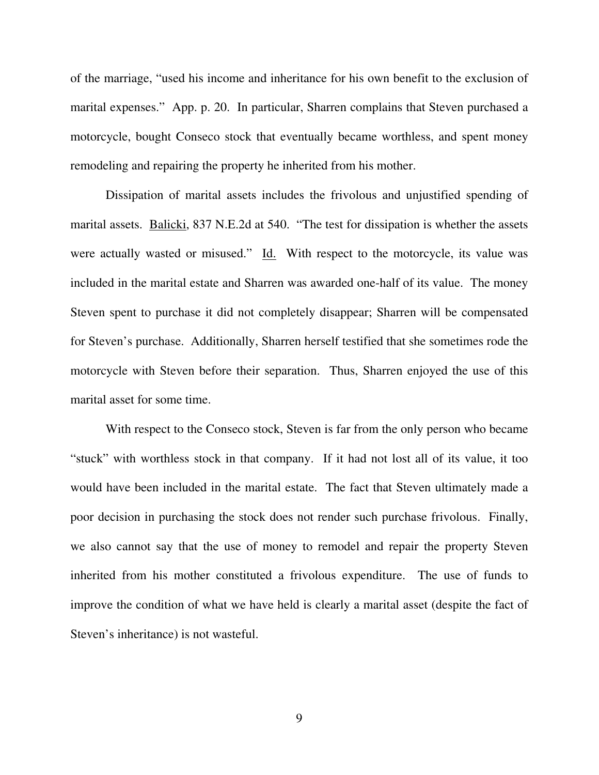of the marriage, "used his income and inheritance for his own benefit to the exclusion of marital expenses." App. p. 20. In particular, Sharren complains that Steven purchased a motorcycle, bought Conseco stock that eventually became worthless, and spent money remodeling and repairing the property he inherited from his mother.

 Dissipation of marital assets includes the frivolous and unjustified spending of marital assets. Balicki, 837 N.E.2d at 540. "The test for dissipation is whether the assets were actually wasted or misused." Id. With respect to the motorcycle, its value was included in the marital estate and Sharren was awarded one-half of its value. The money Steven spent to purchase it did not completely disappear; Sharren will be compensated for Steven's purchase. Additionally, Sharren herself testified that she sometimes rode the motorcycle with Steven before their separation. Thus, Sharren enjoyed the use of this marital asset for some time.

With respect to the Conseco stock, Steven is far from the only person who became "stuck" with worthless stock in that company. If it had not lost all of its value, it too would have been included in the marital estate. The fact that Steven ultimately made a poor decision in purchasing the stock does not render such purchase frivolous. Finally, we also cannot say that the use of money to remodel and repair the property Steven inherited from his mother constituted a frivolous expenditure. The use of funds to improve the condition of what we have held is clearly a marital asset (despite the fact of Steven's inheritance) is not wasteful.

9